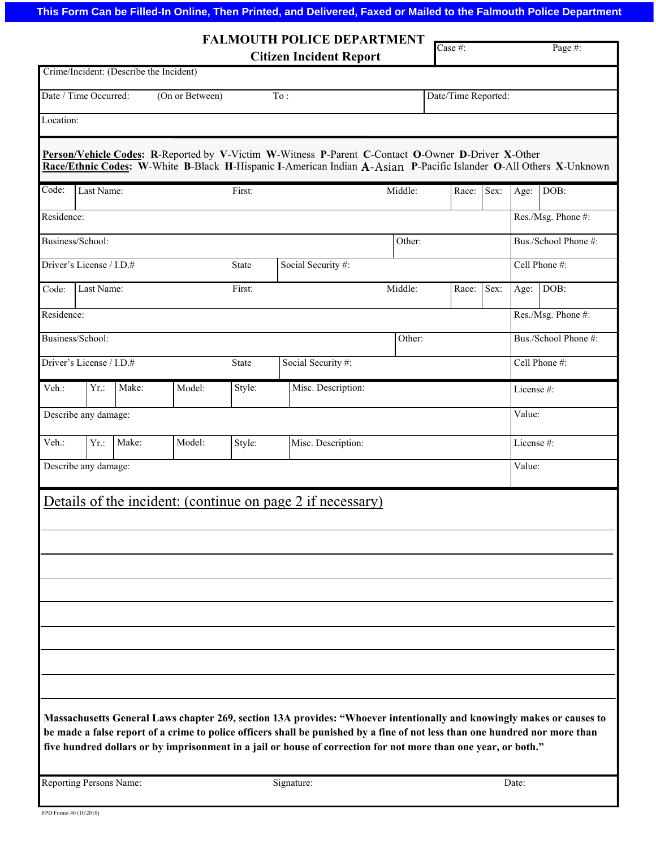## **This Form Can be Filled-In Online, Then Printed, and Delivered, Faxed or Mailed to the Falmouth Police Department**

|                                                                                                                                                                                                                                                                                                                                                                        |                                          |                                                 |                            |                    | <b>FALMOUTH POLICE DEPARTMENT</b>                                                                                                                                                                                       |           |                            |      |                      |                      |  |  |
|------------------------------------------------------------------------------------------------------------------------------------------------------------------------------------------------------------------------------------------------------------------------------------------------------------------------------------------------------------------------|------------------------------------------|-------------------------------------------------|----------------------------|--------------------|-------------------------------------------------------------------------------------------------------------------------------------------------------------------------------------------------------------------------|-----------|----------------------------|------|----------------------|----------------------|--|--|
|                                                                                                                                                                                                                                                                                                                                                                        |                                          |                                                 |                            |                    | <b>Citizen Incident Report</b>                                                                                                                                                                                          |           | $\overline{\text{Case}\#}$ |      |                      | Page #:              |  |  |
|                                                                                                                                                                                                                                                                                                                                                                        |                                          | Crime/Incident: (Describe the Incident)         |                            |                    |                                                                                                                                                                                                                         |           |                            |      |                      |                      |  |  |
| Date / Time Occurred:<br>(On or Between)<br>To:<br>Date/Time Reported:                                                                                                                                                                                                                                                                                                 |                                          |                                                 |                            |                    |                                                                                                                                                                                                                         |           |                            |      |                      |                      |  |  |
| Location:                                                                                                                                                                                                                                                                                                                                                              |                                          |                                                 |                            |                    |                                                                                                                                                                                                                         |           |                            |      |                      |                      |  |  |
|                                                                                                                                                                                                                                                                                                                                                                        |                                          |                                                 |                            |                    | Person/Vehicle Codes: R-Reported by V-Victim W-Witness P-Parent C-Contact O-Owner D-Driver X-Other<br>Race/Ethnic Codes: W-White B-Black H-Hispanic I-American Indian A-Asian P-Pacific Islander O-All Others X-Unknown |           |                            |      |                      |                      |  |  |
| Code:                                                                                                                                                                                                                                                                                                                                                                  | Last Name:                               |                                                 |                            | First:             |                                                                                                                                                                                                                         | Middle:   | Race:                      | Sex: | Age:                 | DOB:                 |  |  |
| Residence:                                                                                                                                                                                                                                                                                                                                                             |                                          |                                                 |                            |                    |                                                                                                                                                                                                                         |           |                            |      | Res./Msg. Phone #:   |                      |  |  |
| Business/School:<br>Other:                                                                                                                                                                                                                                                                                                                                             |                                          |                                                 |                            |                    |                                                                                                                                                                                                                         |           |                            |      |                      | Bus./School Phone #: |  |  |
|                                                                                                                                                                                                                                                                                                                                                                        | Driver's License / I.D.#<br><b>State</b> |                                                 |                            |                    | Social Security #:                                                                                                                                                                                                      |           |                            |      | Cell Phone #:        |                      |  |  |
| Code:                                                                                                                                                                                                                                                                                                                                                                  | Last Name:                               |                                                 | Middle:<br>First:<br>Race: |                    |                                                                                                                                                                                                                         |           | Sex:                       | Age: | DOB:                 |                      |  |  |
| Residence:                                                                                                                                                                                                                                                                                                                                                             |                                          |                                                 |                            |                    |                                                                                                                                                                                                                         |           |                            |      | Res./Msg. Phone #:   |                      |  |  |
|                                                                                                                                                                                                                                                                                                                                                                        | Business/School:                         |                                                 |                            |                    |                                                                                                                                                                                                                         | Other:    |                            |      | Bus./School Phone #: |                      |  |  |
|                                                                                                                                                                                                                                                                                                                                                                        | Driver's License / I.D.#                 |                                                 |                            | Social Security #: |                                                                                                                                                                                                                         |           |                            |      | Cell Phone #:        |                      |  |  |
| Veh.:                                                                                                                                                                                                                                                                                                                                                                  | $Yr$ .:                                  | Make:                                           | Model:                     | Style:             | Misc. Description:                                                                                                                                                                                                      | License#: |                            |      |                      |                      |  |  |
|                                                                                                                                                                                                                                                                                                                                                                        | Describe any damage:                     |                                                 |                            |                    |                                                                                                                                                                                                                         |           |                            |      |                      | Value:               |  |  |
| Veh.:                                                                                                                                                                                                                                                                                                                                                                  | $Yr$ .:                                  | Make:<br>Model:<br>Misc. Description:<br>Style: |                            |                    |                                                                                                                                                                                                                         |           |                            |      | License#:            |                      |  |  |
| Describe any damage:                                                                                                                                                                                                                                                                                                                                                   |                                          |                                                 |                            |                    |                                                                                                                                                                                                                         |           |                            |      | Value:               |                      |  |  |
|                                                                                                                                                                                                                                                                                                                                                                        |                                          |                                                 |                            |                    | Details of the incident: (continue on page 2 if necessary)                                                                                                                                                              |           |                            |      |                      |                      |  |  |
|                                                                                                                                                                                                                                                                                                                                                                        |                                          |                                                 |                            |                    |                                                                                                                                                                                                                         |           |                            |      |                      |                      |  |  |
|                                                                                                                                                                                                                                                                                                                                                                        |                                          |                                                 |                            |                    |                                                                                                                                                                                                                         |           |                            |      |                      |                      |  |  |
|                                                                                                                                                                                                                                                                                                                                                                        |                                          |                                                 |                            |                    |                                                                                                                                                                                                                         |           |                            |      |                      |                      |  |  |
|                                                                                                                                                                                                                                                                                                                                                                        |                                          |                                                 |                            |                    |                                                                                                                                                                                                                         |           |                            |      |                      |                      |  |  |
|                                                                                                                                                                                                                                                                                                                                                                        |                                          |                                                 |                            |                    |                                                                                                                                                                                                                         |           |                            |      |                      |                      |  |  |
|                                                                                                                                                                                                                                                                                                                                                                        |                                          |                                                 |                            |                    |                                                                                                                                                                                                                         |           |                            |      |                      |                      |  |  |
|                                                                                                                                                                                                                                                                                                                                                                        |                                          |                                                 |                            |                    |                                                                                                                                                                                                                         |           |                            |      |                      |                      |  |  |
| Massachusetts General Laws chapter 269, section 13A provides: "Whoever intentionally and knowingly makes or causes to<br>be made a false report of a crime to police officers shall be punished by a fine of not less than one hundred nor more than<br>five hundred dollars or by imprisonment in a jail or house of correction for not more than one year, or both." |                                          |                                                 |                            |                    |                                                                                                                                                                                                                         |           |                            |      |                      |                      |  |  |

Reporting Persons Name: Signature: Signature: Date: Date: